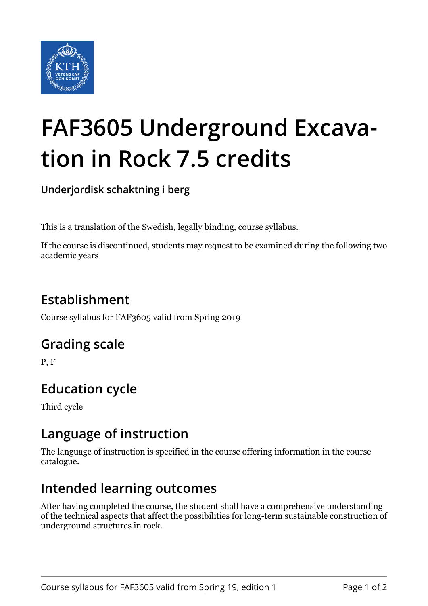

# **FAF3605 Underground Excavation in Rock 7.5 credits**

**Underjordisk schaktning i berg**

This is a translation of the Swedish, legally binding, course syllabus.

If the course is discontinued, students may request to be examined during the following two academic years

## **Establishment**

Course syllabus for FAF3605 valid from Spring 2019

#### **Grading scale**

P, F

## **Education cycle**

Third cycle

#### **Language of instruction**

The language of instruction is specified in the course offering information in the course catalogue.

#### **Intended learning outcomes**

After having completed the course, the student shall have a comprehensive understanding of the technical aspects that affect the possibilities for long-term sustainable construction of underground structures in rock.